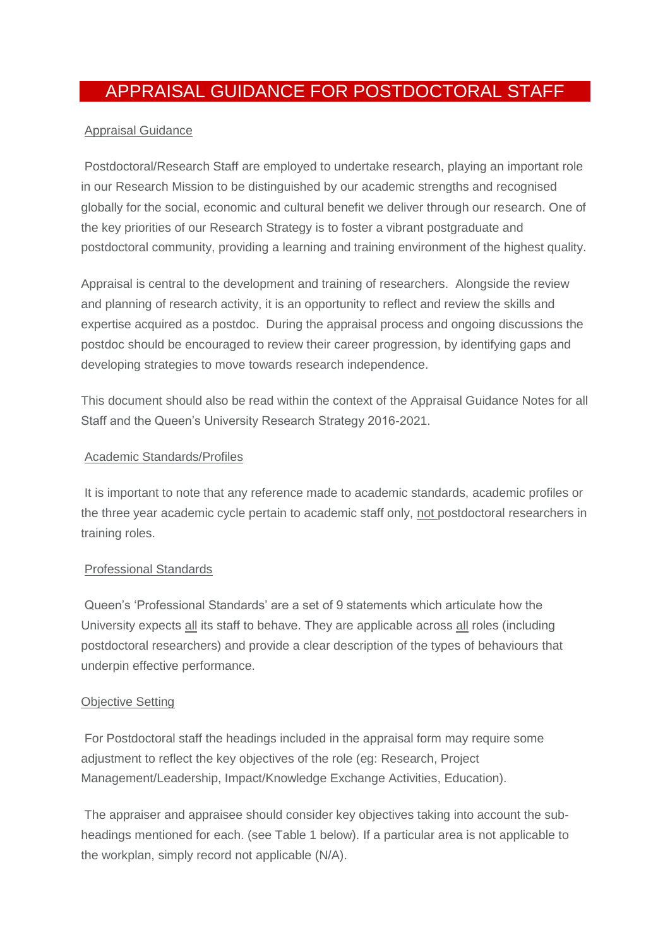# APPRAISAL GUIDANCE FOR POSTDOCTORAL STAFF

### Appraisal Guidance

Postdoctoral/Research Staff are employed to undertake research, playing an important role in our Research Mission to be distinguished by our academic strengths and recognised globally for the social, economic and cultural benefit we deliver through our research. One of the key priorities of our Research Strategy is to foster a vibrant postgraduate and postdoctoral community, providing a learning and training environment of the highest quality.

Appraisal is central to the development and training of researchers. Alongside the review and planning of research activity, it is an opportunity to reflect and review the skills and expertise acquired as a postdoc. During the appraisal process and ongoing discussions the postdoc should be encouraged to review their career progression, by identifying gaps and developing strategies to move towards research independence.

This document should also be read within the context of the Appraisal Guidance Notes for all Staff and the Queen's University Research Strategy 2016-2021.

#### Academic Standards/Profiles

It is important to note that any reference made to academic standards, academic profiles or the three year academic cycle pertain to academic staff only, not postdoctoral researchers in training roles.

# Professional Standards

Queen's 'Professional Standards' are a set of 9 statements which articulate how the University expects all its staff to behave. They are applicable across all roles (including postdoctoral researchers) and provide a clear description of the types of behaviours that underpin effective performance.

#### Objective Setting

For Postdoctoral staff the headings included in the appraisal form may require some adjustment to reflect the key objectives of the role (eg: Research, Project Management/Leadership, Impact/Knowledge Exchange Activities, Education).

The appraiser and appraisee should consider key objectives taking into account the subheadings mentioned for each. (see Table 1 below). If a particular area is not applicable to the workplan, simply record not applicable (N/A).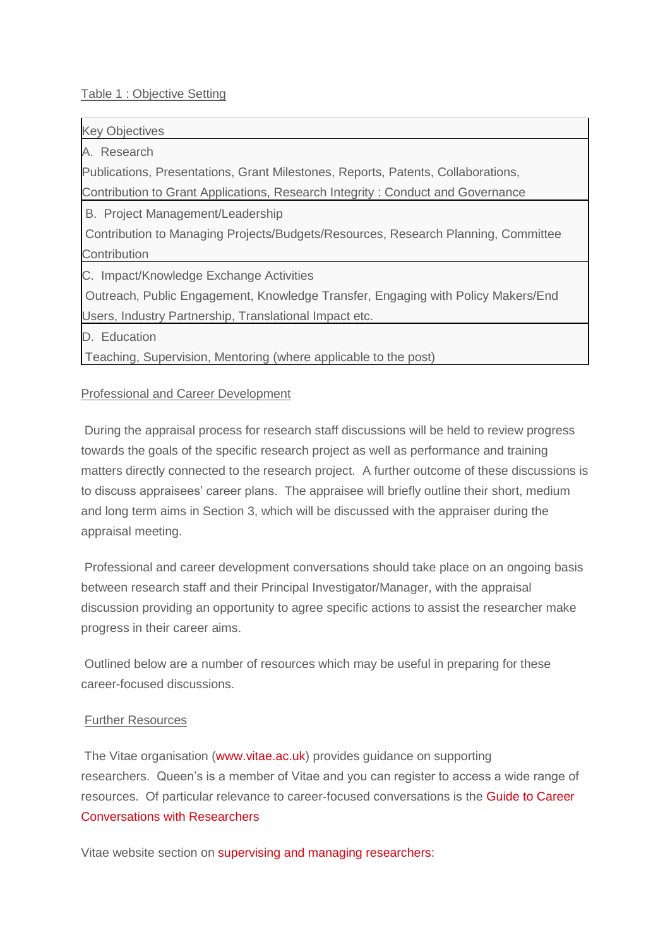#### Table 1 : Objective Setting

Key Objectives

A. Research

Publications, Presentations, Grant Milestones, Reports, Patents, Collaborations,

Contribution to Grant Applications, Research Integrity : Conduct and Governance

B. Project Management/Leadership

Contribution to Managing Projects/Budgets/Resources, Research Planning, Committee **Contribution** 

C. Impact/Knowledge Exchange Activities

Outreach, Public Engagement, Knowledge Transfer, Engaging with Policy Makers/End Users, Industry Partnership, Translational Impact etc.

D. Education

Teaching, Supervision, Mentoring (where applicable to the post)

# Professional and Career Development

During the appraisal process for research staff discussions will be held to review progress towards the goals of the specific research project as well as performance and training matters directly connected to the research project. A further outcome of these discussions is to discuss appraisees' career plans. The appraisee will briefly outline their short, medium and long term aims in Section 3, which will be discussed with the appraiser during the appraisal meeting.

Professional and career development conversations should take place on an ongoing basis between research staff and their Principal Investigator/Manager, with the appraisal discussion providing an opportunity to agree specific actions to assist the researcher make progress in their career aims.

Outlined below are a number of resources which may be useful in preparing for these career-focused discussions.

# Further Resources

The Vitae organisation [\(www.vitae.ac.uk\)](http://www.vitae.ac.uk/) provides guidance on supporting researchers. Queen's is a member of Vitae and you can register to access a wide range of resources. Of particular relevance to career-focused conversations is the [Guide to Career](https://www.vitae.ac.uk/vitae-publications/guides-briefings-and-information/a-brief-guide-to-career-conversations-with-research-staff-2015-not-editable.pdf/view)  [Conversations with Researchers](https://www.vitae.ac.uk/vitae-publications/guides-briefings-and-information/a-brief-guide-to-career-conversations-with-research-staff-2015-not-editable.pdf/view)

Vitae website section on [supervising and managing researchers:](https://www.vitae.ac.uk/spotlight/supervising-and-managing-researchers-1/supervising-and-managing-researchers)